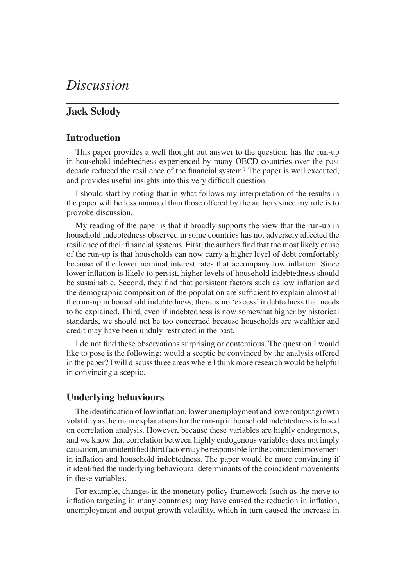# *Discussion*

## **Jack Selody**

### **Introduction**

This paper provides a well thought out answer to the question: has the run-up in household indebtedness experienced by many OECD countries over the past decade reduced the resilience of the financial system? The paper is well executed, and provides useful insights into this very difficult question.

I should start by noting that in what follows my interpretation of the results in the paper will be less nuanced than those offered by the authors since my role is to provoke discussion.

My reading of the paper is that it broadly supports the view that the run-up in household indebtedness observed in some countries has not adversely affected the resilience of their financial systems. First, the authors find that the most likely cause of the run-up is that households can now carry a higher level of debt comfortably because of the lower nominal interest rates that accompany low inflation. Since lower inflation is likely to persist, higher levels of household indebtedness should be sustainable. Second, they find that persistent factors such as low inflation and the demographic composition of the population are sufficient to explain almost all the run-up in household indebtedness; there is no 'excess' indebtedness that needs to be explained. Third, even if indebtedness is now somewhat higher by historical standards, we should not be too concerned because households are wealthier and credit may have been unduly restricted in the past.

I do not find these observations surprising or contentious. The question I would like to pose is the following: would a sceptic be convinced by the analysis offered in the paper? I will discuss three areas where I think more research would be helpful in convincing a sceptic.

#### **Underlying behaviours**

The identification of low inflation, lower unemployment and lower output growth volatility as the main explanations for the run-up in household indebtedness is based on correlation analysis. However, because these variables are highly endogenous, and we know that correlation between highly endogenous variables does not imply causation, an unidentified third factor may be responsible for the coincident movement in inflation and household indebtedness. The paper would be more convincing if it identified the underlying behavioural determinants of the coincident movements in these variables.

For example, changes in the monetary policy framework (such as the move to inflation targeting in many countries) may have caused the reduction in inflation, unemployment and output growth volatility, which in turn caused the increase in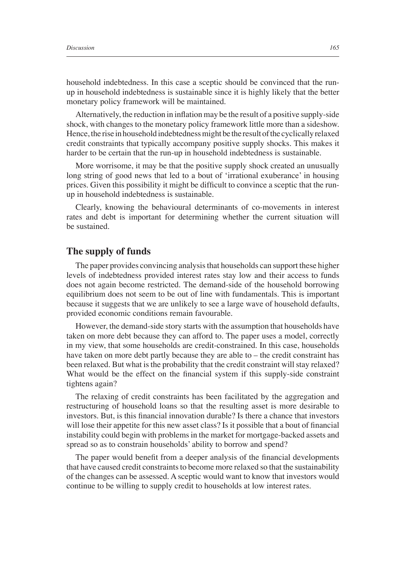household indebtedness. In this case a sceptic should be convinced that the runup in household indebtedness is sustainable since it is highly likely that the better monetary policy framework will be maintained.

Alternatively, the reduction in inflation may be the result of a positive supply-side shock, with changes to the monetary policy framework little more than a sideshow. Hence, the rise in household indebtedness might be the result of the cyclically relaxed credit constraints that typically accompany positive supply shocks. This makes it harder to be certain that the run-up in household indebtedness is sustainable.

More worrisome, it may be that the positive supply shock created an unusually long string of good news that led to a bout of 'irrational exuberance' in housing prices. Given this possibility it might be difficult to convince a sceptic that the runup in household indebtedness is sustainable.

Clearly, knowing the behavioural determinants of co-movements in interest rates and debt is important for determining whether the current situation will be sustained.

#### **The supply of funds**

The paper provides convincing analysis that households can support these higher levels of indebtedness provided interest rates stay low and their access to funds does not again become restricted. The demand-side of the household borrowing equilibrium does not seem to be out of line with fundamentals. This is important because it suggests that we are unlikely to see a large wave of household defaults, provided economic conditions remain favourable.

However, the demand-side story starts with the assumption that households have taken on more debt because they can afford to. The paper uses a model, correctly in my view, that some households are credit-constrained. In this case, households have taken on more debt partly because they are able to – the credit constraint has been relaxed. But what is the probability that the credit constraint will stay relaxed? What would be the effect on the financial system if this supply-side constraint tightens again?

The relaxing of credit constraints has been facilitated by the aggregation and restructuring of household loans so that the resulting asset is more desirable to investors. But, is this financial innovation durable? Is there a chance that investors will lose their appetite for this new asset class? Is it possible that a bout of financial instability could begin with problems in the market for mortgage-backed assets and spread so as to constrain households' ability to borrow and spend?

The paper would benefit from a deeper analysis of the financial developments that have caused credit constraints to become more relaxed so that the sustainability of the changes can be assessed. A sceptic would want to know that investors would continue to be willing to supply credit to households at low interest rates.